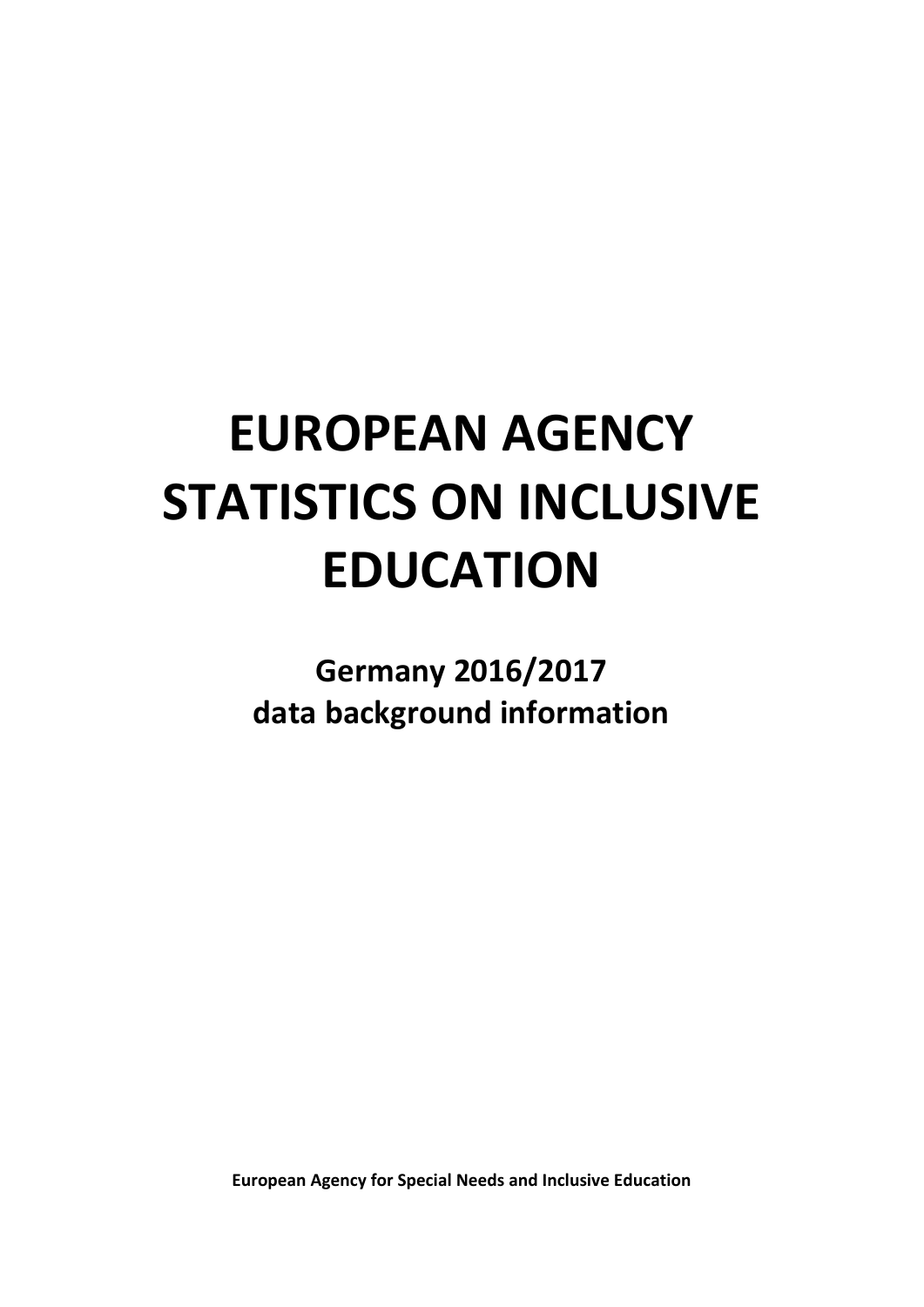# **EUROPEAN AGENCY STATISTICS ON INCLUSIVE EDUCATION**

**Germany 2016/2017 data background information**

**European Agency for Special Needs and Inclusive Education**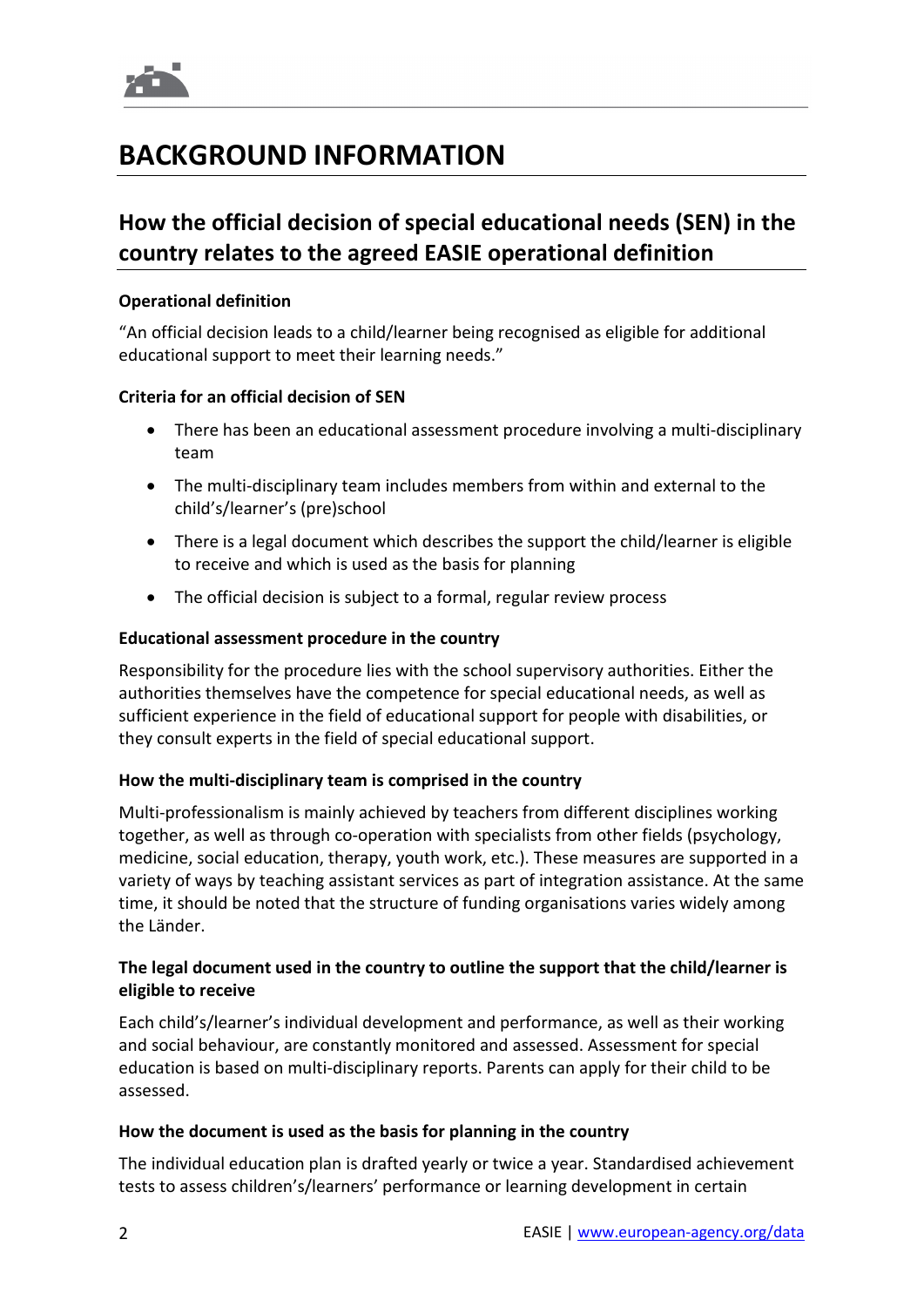

# **BACKGROUND INFORMATION**

# **How the official decision of special educational needs (SEN) in the country relates to the agreed EASIE operational definition**

## **Operational definition**

"An official decision leads to a child/learner being recognised as eligible for additional educational support to meet their learning needs."

# **Criteria for an official decision of SEN**

- There has been an educational assessment procedure involving a multi-disciplinary team
- The multi-disciplinary team includes members from within and external to the child's/learner's (pre)school
- There is a legal document which describes the support the child/learner is eligible to receive and which is used as the basis for planning
- The official decision is subject to a formal, regular review process

# **Educational assessment procedure in the country**

Responsibility for the procedure lies with the school supervisory authorities. Either the authorities themselves have the competence for special educational needs, as well as sufficient experience in the field of educational support for people with disabilities, or they consult experts in the field of special educational support.

## **How the multi-disciplinary team is comprised in the country**

Multi-professionalism is mainly achieved by teachers from different disciplines working together, as well as through co-operation with specialists from other fields (psychology, medicine, social education, therapy, youth work, etc.). These measures are supported in a variety of ways by teaching assistant services as part of integration assistance. At the same time, it should be noted that the structure of funding organisations varies widely among the Länder.

# **The legal document used in the country to outline the support that the child/learner is eligible to receive**

Each child's/learner's individual development and performance, as well as their working and social behaviour, are constantly monitored and assessed. Assessment for special education is based on multi-disciplinary reports. Parents can apply for their child to be assessed.

## **How the document is used as the basis for planning in the country**

The individual education plan is drafted yearly or twice a year. Standardised achievement tests to assess children's/learners' performance or learning development in certain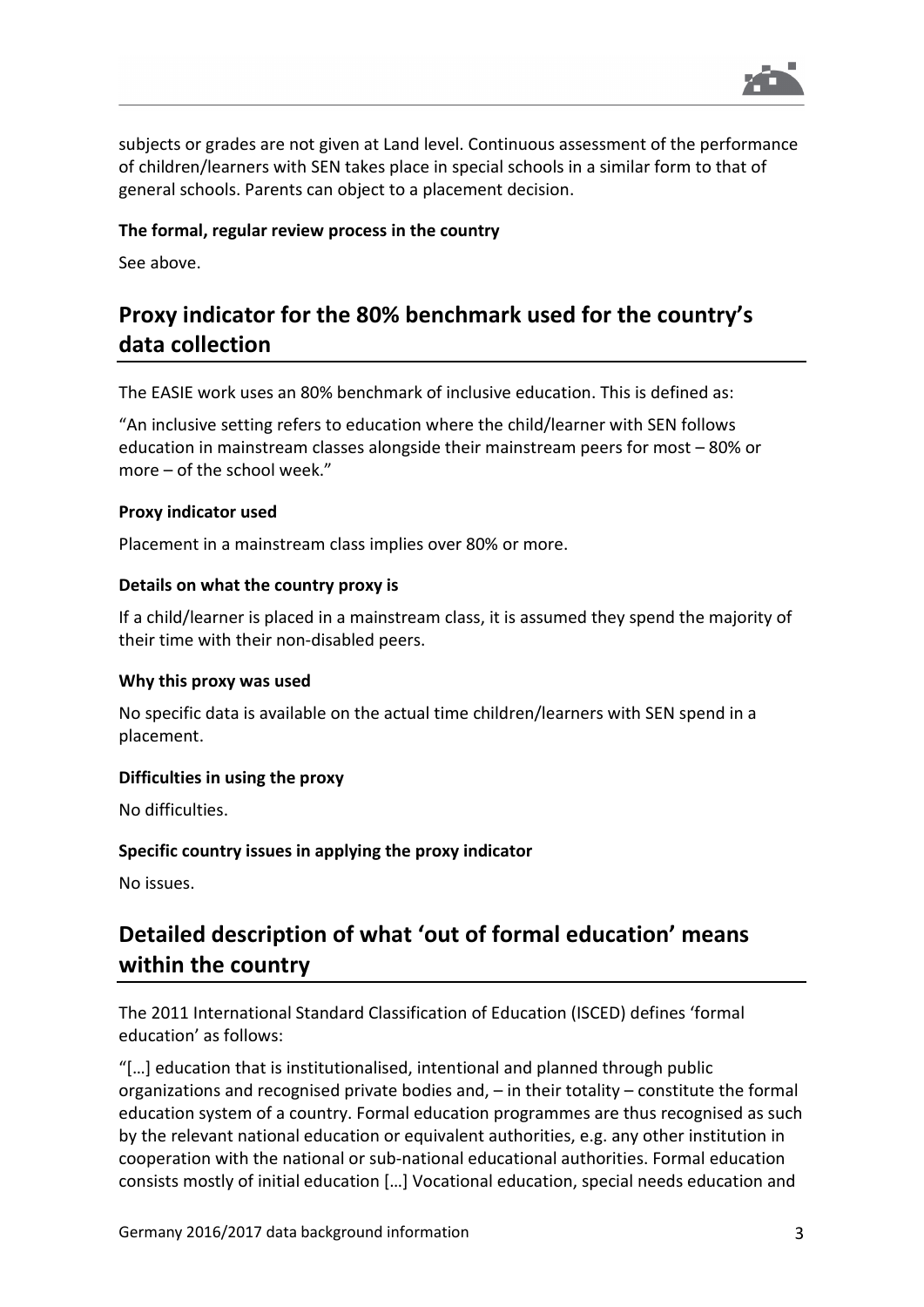

subjects or grades are not given at Land level. Continuous assessment of the performance of children/learners with SEN takes place in special schools in a similar form to that of general schools. Parents can object to a placement decision.

## **The formal, regular review process in the country**

See above.

# **Proxy indicator for the 80% benchmark used for the country's data collection**

The EASIE work uses an 80% benchmark of inclusive education. This is defined as:

"An inclusive setting refers to education where the child/learner with SEN follows education in mainstream classes alongside their mainstream peers for most – 80% or more – of the school week."

#### **Proxy indicator used**

Placement in a mainstream class implies over 80% or more.

#### **Details on what the country proxy is**

If a child/learner is placed in a mainstream class, it is assumed they spend the majority of their time with their non-disabled peers.

#### **Why this proxy was used**

No specific data is available on the actual time children/learners with SEN spend in a placement.

## **Difficulties in using the proxy**

No difficulties.

## **Specific country issues in applying the proxy indicator**

No issues.

# **Detailed description of what 'out of formal education' means within the country**

The 2011 International Standard Classification of Education (ISCED) defines 'formal education' as follows:

"[…] education that is institutionalised, intentional and planned through public organizations and recognised private bodies and, – in their totality – constitute the formal education system of a country. Formal education programmes are thus recognised as such by the relevant national education or equivalent authorities, e.g. any other institution in cooperation with the national or sub-national educational authorities. Formal education consists mostly of initial education […] Vocational education, special needs education and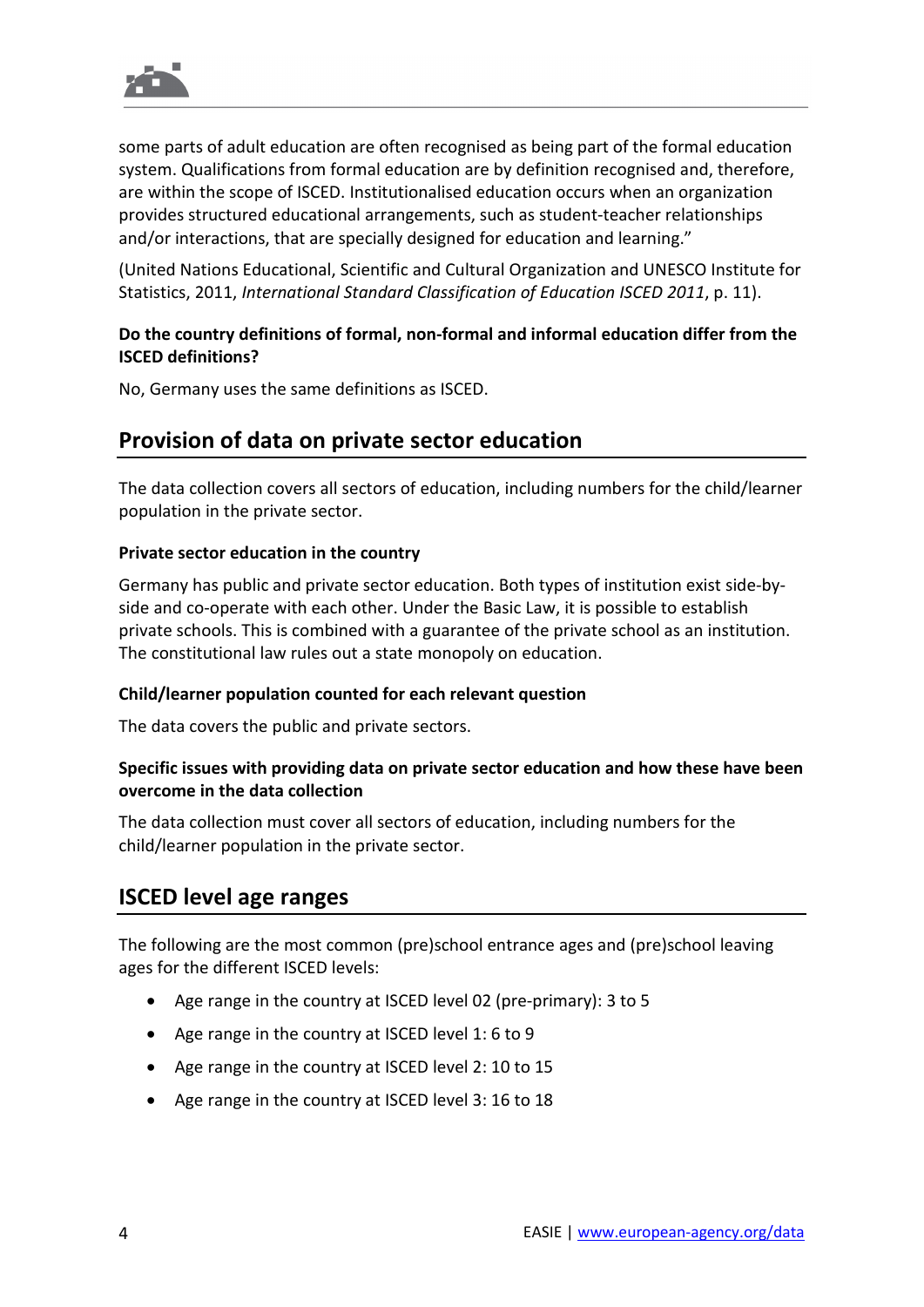

some parts of adult education are often recognised as being part of the formal education system. Qualifications from formal education are by definition recognised and, therefore, are within the scope of ISCED. Institutionalised education occurs when an organization provides structured educational arrangements, such as student-teacher relationships and/or interactions, that are specially designed for education and learning."

(United Nations Educational, Scientific and Cultural Organization and UNESCO Institute for Statistics, 2011, *International Standard Classification of Education ISCED 2011*, p. 11).

# **Do the country definitions of formal, non-formal and informal education differ from the ISCED definitions?**

No, Germany uses the same definitions as ISCED.

# **Provision of data on private sector education**

The data collection covers all sectors of education, including numbers for the child/learner population in the private sector.

# **Private sector education in the country**

Germany has public and private sector education. Both types of institution exist side-byside and co-operate with each other. Under the Basic Law, it is possible to establish private schools. This is combined with a guarantee of the private school as an institution. The constitutional law rules out a state monopoly on education.

## **Child/learner population counted for each relevant question**

The data covers the public and private sectors.

# **Specific issues with providing data on private sector education and how these have been overcome in the data collection**

The data collection must cover all sectors of education, including numbers for the child/learner population in the private sector.

# **ISCED level age ranges**

The following are the most common (pre)school entrance ages and (pre)school leaving ages for the different ISCED levels:

- Age range in the country at ISCED level 02 (pre-primary): 3 to 5
- Age range in the country at ISCED level 1: 6 to 9
- Age range in the country at ISCED level 2: 10 to 15
- Age range in the country at ISCED level 3: 16 to 18